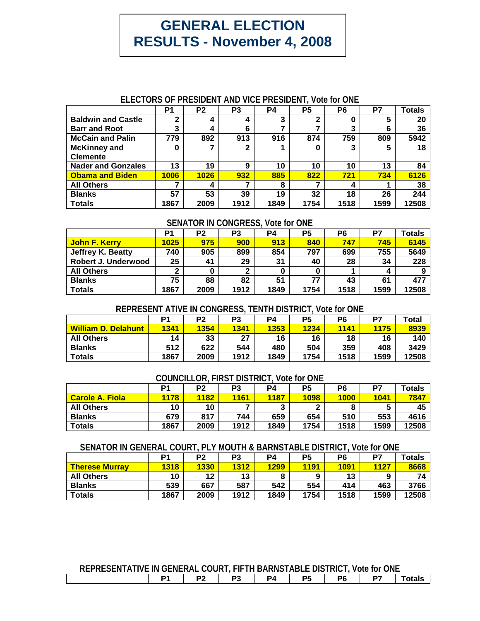# **GENERAL ELECTION RESULTS - November 4, 2008**

## **ELECTORS OF PRESIDENT AND VICE PRESIDENT, Vote for ONE**

|                                        | P1   | P <sub>2</sub> | P <sub>3</sub> | <b>P4</b> | P <sub>5</sub> | P6   | P7   | <b>Totals</b> |
|----------------------------------------|------|----------------|----------------|-----------|----------------|------|------|---------------|
| <b>Baldwin and Castle</b>              |      | 4              |                | 3         | ◠              | υ    | 5    | 20            |
| <b>Barr and Root</b>                   | 3    | 4              | 6              |           |                | 3    | 6    | 36            |
| <b>McCain and Palin</b>                | 779  | 892            | 913            | 916       | 874            | 759  | 809  | 5942          |
| <b>McKinney and</b><br><b>Clemente</b> | 0    |                |                |           |                |      | 5    | 18            |
| <b>Nader and Gonzales</b>              | 13   | 19             | 9              | 10        | 10             | 10   | 13   | 84            |
| <b>Obama and Biden</b>                 | 1006 | 1026           | 932            | 885       | 822            | 721  | 734  | 6126          |
| <b>All Others</b>                      |      | 4              |                | 8         |                | 4    |      | 38            |
| <b>Blanks</b>                          | 57   | 53             | 39             | 19        | 32             | 18   | 26   | 244           |
| <b>Totals</b>                          | 1867 | 2009           | 1912           | 1849      | 1754           | 1518 | 1599 | 12508         |

## **SENATOR IN CONGRESS, Vote for ONE**

|                     | P1   | P2   | P3   | P4   | P <sub>5</sub> | P <sub>6</sub> | P7   | <b>Totals</b> |
|---------------------|------|------|------|------|----------------|----------------|------|---------------|
| John F. Kerry       | 1025 | 975  | 900  | 913  | 840            | 747            | 745  | 6145          |
| Jeffrey K. Beatty   | 740  | 905  | 899  | 854  | 797            | 699            | 755  | 5649          |
| Robert J. Underwood | 25   | 41   | 29   | 31   | 40             | 28             | 34   | 228           |
| <b>All Others</b>   |      |      | ◠    | 0    |                |                | 4    | 9             |
| <b>Blanks</b>       | 75   | 88   | 82   | 51   | 77             | 43             | 61   | 477           |
| <b>Totals</b>       | 1867 | 2009 | 1912 | 1849 | 1754           | 1518           | 1599 | 12508         |

#### **REPRESENT ATIVE IN CONGRESS, TENTH DISTRICT, Vote for ONE**

|                     | P1   | P <sub>2</sub> | P <sub>3</sub> | P4   | P5   | P <sub>6</sub> | D7   | Total |
|---------------------|------|----------------|----------------|------|------|----------------|------|-------|
| William D. Delahunt | 1341 | 1354           | 1341           | 1353 | 1234 | 1141           | 1175 | 8939  |
| <b>All Others</b>   | 14   | 33             | 27             | 16   | 16   | 18             | 16   | 140   |
| <b>Blanks</b>       | 512  | 622            | 544            | 480  | 504  | 359            | 408  | 3429  |
| <b>Totals</b>       | 1867 | 2009           | 1912           | 1849 | 1754 | 1518           | 1599 | 12508 |

#### **COUNCILLOR, FIRST DISTRICT, Vote for ONE**

| .<br>.                 |      |                |                |        |      |      |      |               |  |  |  |
|------------------------|------|----------------|----------------|--------|------|------|------|---------------|--|--|--|
|                        | P1   | P <sub>2</sub> | P <sub>3</sub> | P4     | P5   | P6   | D7   | <b>Totals</b> |  |  |  |
| <b>Carole A. Fiola</b> | 1178 | 1182           | 1161           | 1187   | 1098 | 1000 | 1041 | 7847          |  |  |  |
| <b>All Others</b>      | 10   | 10             |                | 2<br>J |      |      | э    | 45            |  |  |  |
| <b>Blanks</b>          | 679  | 817            | 744            | 659    | 654  | 510  | 553  | 4616          |  |  |  |
| <b>Totals</b>          | 1867 | 2009           | 1912           | 1849   | 1754 | 1518 | 1599 | 12508         |  |  |  |

#### **SENATOR IN GENERAL COURT, PLY MOUTH & BARNSTABLE DISTRICT, Vote for ONE**

| VENI LI VILLE VENE VOVILI I EL 111VVIII W PINNIVII 19EE PIVII 11VIVI I VIL VIIE |      |                |                |      |             |      |      |               |  |  |  |
|---------------------------------------------------------------------------------|------|----------------|----------------|------|-------------|------|------|---------------|--|--|--|
|                                                                                 | D1   | P <sub>2</sub> | P <sub>3</sub> | P4   | P5          | P6   | P7   | <b>Totals</b> |  |  |  |
| <b>Therese Murray</b>                                                           | 1318 | 1330           | 1312           | 1299 | <b>1191</b> | 1091 | 1127 | 8668          |  |  |  |
| <b>All Others</b>                                                               | 10   | 12             | 13             | 8    | $\mathbf o$ | 13   | 9    |               |  |  |  |
| <b>Blanks</b>                                                                   | 539  | 667            | 587            | 542  | 554         | 414  | 463  | 3766          |  |  |  |
| <b>Totals</b>                                                                   | 1867 | 2009           | 1912           | 1849 | 1754        | 1518 | 1599 | 12508         |  |  |  |

## **REPRESENTATIVE IN GENERAL COURT, FIFTH BARNSTABLE DISTRICT, Vote for ONE**

|  |  |  |  |  | $\sim$ $\sim$ | nc<br> | $\sim$ | D7 | tals |
|--|--|--|--|--|---------------|--------|--------|----|------|
|--|--|--|--|--|---------------|--------|--------|----|------|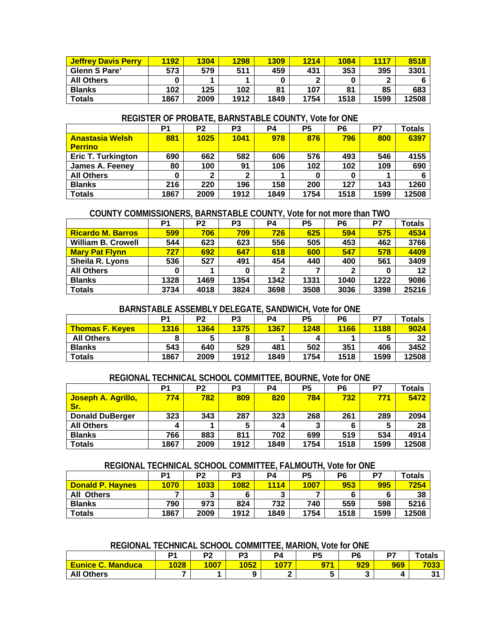| <b>Jeffrey Davis Perry</b> | 1192 | 1304 | 1298 | 1309       | 1214 | 1084 | 1117               | 8518  |
|----------------------------|------|------|------|------------|------|------|--------------------|-------|
| <b>Glenn S Pare'</b>       | 573  | 579  | 511  | 459        | 431  | 353  | 395                | 3301  |
| <b>All Others</b>          |      |      |      | $\sqrt{2}$ | ◠    |      | $\mathbf{\hat{a}}$ |       |
| <b>Blanks</b>              | 102  | 125  | 102  | 81         | 107  | 81   | 85                 | 683   |
| Totals                     | 1867 | 2009 | 1912 | 1849       | 1754 | 1518 | 1599               | 12508 |

#### **REGISTER OF PROBATE, BARNSTABLE COUNTY, Vote for ONE**

|                           | P <sub>1</sub> | P <sub>2</sub> | P <sub>3</sub> | P4   | P <sub>5</sub> | P <sub>6</sub> | P7   | <b>Totals</b> |
|---------------------------|----------------|----------------|----------------|------|----------------|----------------|------|---------------|
| <b>Anastasia Welsh</b>    | 881            | 1025           | 1041           | 978  | 876            | 796            | 800  | 6397          |
| <u>l Perrino</u>          |                |                |                |      |                |                |      |               |
| <b>Eric T. Turkington</b> | 690            | 662            | 582            | 606  | 576            | 493            | 546  | 4155          |
| <b>James A. Feeney</b>    | 80             | 100            | 91             | 106  | 102            | 102            | 109  | 690           |
| <b>All Others</b>         | 0              | ◠              | ◠              |      |                |                |      |               |
| <b>Blanks</b>             | 216            | 220            | 196            | 158  | 200            | 127            | 143  | 1260          |
| <b>Totals</b>             | 1867           | 2009           | 1912           | 1849 | 1754           | 1518           | 1599 | 12508         |

#### **COUNTY COMMISSIONERS, BARNSTABLE COUNTY, Vote for not more than TWO**

|                           | P <sub>1</sub> | P <sub>2</sub> | P <sub>3</sub> | P4           | P <sub>5</sub> | P6   | P7       | <b>Totals</b> |
|---------------------------|----------------|----------------|----------------|--------------|----------------|------|----------|---------------|
| <b>Ricardo M. Barros</b>  | 599            | 706            | 709            | 726          | 625            | 594  | 575      | 4534          |
| <b>William B. Crowell</b> | 544            | 623            | 623            | 556          | 505            | 453  | 462      | 3766          |
| <b>Mary Pat Flynn</b>     | 727            | 692            | 647            | 618          | 600            | 547  | 578      | 4409          |
| Sheila R. Lyons           | 536            | 527            | 491            | 454          | 440            | 400  | 561      | 3409          |
| <b>All Others</b>         | 0              |                |                | $\mathbf{2}$ |                | 2    | $\bf{0}$ | 12            |
| <b>Blanks</b>             | 1328           | 1469           | 1354           | 1342         | 1331           | 1040 | 1222     | 9086          |
| <b>Totals</b>             | 3734           | 4018           | 3824           | 3698         | 3508           | 3036 | 3398     | 25216         |

## **BARNSTABLE ASSEMBLY DELEGATE, SANDWICH, Vote for ONE**

|                        | D <sub>1</sub> | P2   | P <sub>3</sub> | <b>P4</b> | P5   | P <sub>6</sub> | D7   | <b>Totals</b> |
|------------------------|----------------|------|----------------|-----------|------|----------------|------|---------------|
| <b>Thomas F. Keves</b> | 1316           | 1364 | 1375           | 1367      | 1248 | 1166           | 1188 | 9024          |
| <b>All Others</b>      |                |      |                |           |      |                | 5    | 32            |
| <b>Blanks</b>          | 543            | 640  | 529            | 481       | 502  | 351            | 406  | 3452          |
| Totals                 | 1867           | 2009 | 1912           | 1849      | 1754 | 1518           | 1599 | 12508         |

#### **REGIONAL TECHNICAL SCHOOL COMMITTEE, BOURNE, Vote for ONE**

|                                  | P1   | P <sub>2</sub> | P <sub>3</sub> | P4   | P5   | P <sub>6</sub> | P7   | <b>Totals</b> |
|----------------------------------|------|----------------|----------------|------|------|----------------|------|---------------|
| Joseph A. Agrillo,<br><b>Sr.</b> | 774  | 782            | 809            | 820  | 784  | 732            | 771  | 5472          |
| <b>Donald DuBerger</b>           | 323  | 343            | 287            | 323  | 268  | 261            | 289  | 2094          |
| <b>All Others</b>                | 4    |                |                | 4    | 3    |                | 5    | 28            |
| <b>Blanks</b>                    | 766  | 883            | 811            | 702  | 699  | 519            | 534  | 4914          |
| <b>Totals</b>                    | 1867 | 2009           | 1912           | 1849 | 1754 | 1518           | 1599 | 12508         |

#### **REGIONAL TECHNICAL SCHOOL COMMITTEE, FALMOUTH, Vote for ONE**

|                         | P1   | P <sub>2</sub> | P <sub>3</sub> | P4   | P5   | P6   | D7   | <b>Totals</b> |
|-------------------------|------|----------------|----------------|------|------|------|------|---------------|
| <b>Donald P. Havnes</b> | 1070 | 1033           | 1082           | 1114 | 1007 | 953  | 995  | 7254          |
| <b>All Others</b>       |      | ≏              |                | 3    |      |      |      | 38            |
| <b>Blanks</b>           | 790  | 973            | 824            | 732  | 740  | 559  | 598  | 5216          |
| <b>Totals</b>           | 1867 | 2009           | 1912           | 1849 | 1754 | 1518 | 1599 | 12508         |

### **REGIONAL TECHNICAL SCHOOL COMMITTEE, MARION, Vote for ONE**

|                                    | D.   | פם<br>-- | D <sub>2</sub><br>ں۔ | P4   | DБ<br>. . | P <sub>6</sub> | P7  | Totals      |
|------------------------------------|------|----------|----------------------|------|-----------|----------------|-----|-------------|
| <b>Eunice C.</b><br><b>Manduca</b> | 1028 | 1007     | 1052                 | 1077 | 971       | 929            | 969 | <b>7033</b> |
| <b>All Others</b>                  |      |          |                      |      |           |                |     | 94<br>ູ     |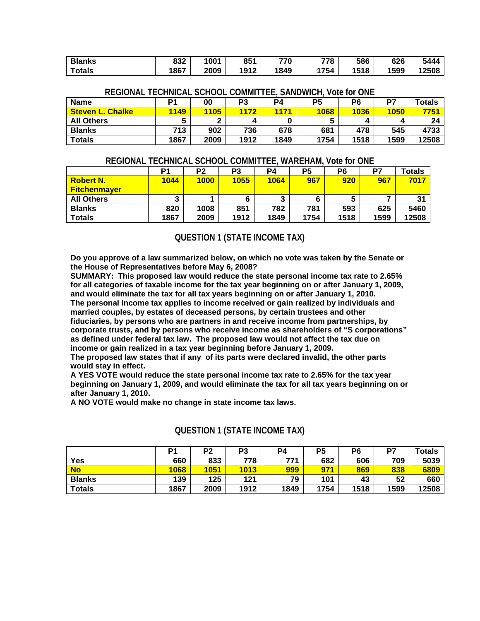| <b>Blanks</b> | 832 | 1001 | 851  | 770  | 778  | 586  | 626  | 5444  |
|---------------|-----|------|------|------|------|------|------|-------|
| Totals        | 867 | 2009 | 1912 | 1849 | 1754 | 1518 | 1599 | 12508 |

| <b>Name</b>             | D1   | 00   | P <sub>3</sub> | <b>P4</b> | Р5   | P6   | D7          | Totals |  |
|-------------------------|------|------|----------------|-----------|------|------|-------------|--------|--|
| <b>Steven L. Chalke</b> | 1149 | 1105 | 1172           | 1171      | 1068 | 1036 | <b>1050</b> | 7751   |  |
| <b>All Others</b>       |      | ◠    |                |           | э    |      |             | 24     |  |
| <b>Blanks</b>           | 713  | 902  | 736            | 678       | 681  | 478  | 545         | 4733   |  |
| <b>Totals</b>           | 1867 | 2009 | 1912           | 1849      | 1754 | 1518 | 1599        | 12508  |  |

## **REGIONAL TECHNICAL SCHOOL COMMITTEE, SANDWICH, Vote for ONE**

## **REGIONAL TECHNICAL SCHOOL COMMITTEE, WAREHAM, Vote for ONE**

|                                         | P1   | P2          | P3   | P4   | P5   | P6   | P7   | <b>Totals</b>  |
|-----------------------------------------|------|-------------|------|------|------|------|------|----------------|
| <b>Robert N.</b><br><b>Fitchenmayer</b> | 1044 | <b>1000</b> | 1055 | 1064 | 967  | 920  | 967  | 7017           |
| <b>All Others</b>                       | J    |             |      |      |      | 5    |      | 3 <sub>1</sub> |
| <b>Blanks</b>                           | 820  | 1008        | 851  | 782  | 781  | 593  | 625  | 5460           |
| <b>Totals</b>                           | 1867 | 2009        | 1912 | 1849 | 1754 | 1518 | 1599 | 12508          |

#### **QUESTION 1 (STATE INCOME TAX)**

**Do you approve of a law summarized below, on which no vote was taken by the Senate or the House of Representatives before May 6, 2008?** 

**SUMMARY: This proposed law would reduce the state personal income tax rate to 2.65% for all categories of taxable income for the tax year beginning on or after January 1, 2009, and would eliminate the tax for all tax years beginning on or after January 1, 2010. The personal income tax applies to income received or gain realized by individuals and married couples, by estates of deceased persons, by certain trustees and other fiduciaries, by persons who are partners in and receive income from partnerships, by corporate trusts, and by persons who receive income as shareholders of "S corporations" as defined under federal tax law. The proposed law would not affect the tax due on income or gain realized in a tax year beginning before January 1, 2009.** 

**The proposed law states that if any of its parts were declared invalid, the other parts would stay in effect.** 

**A YES VOTE would reduce the state personal income tax rate to 2.65% for the tax year beginning on January 1, 2009, and would eliminate the tax for all tax years beginning on or after January 1, 2010.** 

**A NO VOTE would make no change in state income tax laws.** 

|               | P1   | P2   | P <sub>3</sub> | P <sub>4</sub> | P5   | P6   | P7   | Totals |
|---------------|------|------|----------------|----------------|------|------|------|--------|
| Yes           | 660  | 833  | 778            | 771            | 682  | 606  | 709  | 5039   |
| <b>No</b>     | 1068 | 1051 | 1013           | 999            | 971  | 869  | 838  | 6809   |
| <b>Blanks</b> | 139  | 125  | 121            | 79             | 101  | 43   | 52   | 660    |
| <b>Totals</b> | 1867 | 2009 | 1912           | 1849           | 1754 | 1518 | 1599 | 12508  |

#### **QUESTION 1 (STATE INCOME TAX)**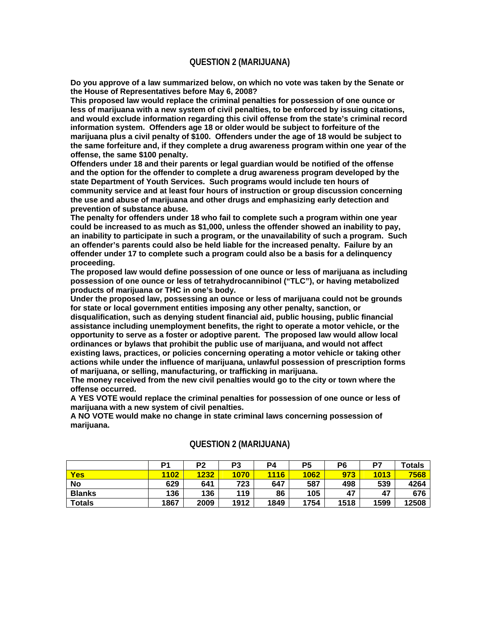#### **QUESTION 2 (MARIJUANA)**

**Do you approve of a law summarized below, on which no vote was taken by the Senate or the House of Representatives before May 6, 2008?** 

**This proposed law would replace the criminal penalties for possession of one ounce or less of marijuana with a new system of civil penalties, to be enforced by issuing citations, and would exclude information regarding this civil offense from the state's criminal record information system. Offenders age 18 or older would be subject to forfeiture of the marijuana plus a civil penalty of \$100. Offenders under the age of 18 would be subject to the same forfeiture and, if they complete a drug awareness program within one year of the offense, the same \$100 penalty.** 

**Offenders under 18 and their parents or legal guardian would be notified of the offense and the option for the offender to complete a drug awareness program developed by the state Department of Youth Services. Such programs would include ten hours of community service and at least four hours of instruction or group discussion concerning the use and abuse of marijuana and other drugs and emphasizing early detection and prevention of substance abuse.** 

**The penalty for offenders under 18 who fail to complete such a program within one year could be increased to as much as \$1,000, unless the offender showed an inability to pay, an inability to participate in such a program, or the unavailability of such a program. Such an offender's parents could also be held liable for the increased penalty. Failure by an offender under 17 to complete such a program could also be a basis for a delinquency proceeding.** 

**The proposed law would define possession of one ounce or less of marijuana as including possession of one ounce or less of tetrahydrocannibinol ("TLC"), or having metabolized products of marijuana or THC in one's body.** 

**Under the proposed law, possessing an ounce or less of marijuana could not be grounds for state or local government entities imposing any other penalty, sanction, or** 

**disqualification, such as denying student financial aid, public housing, public financial assistance including unemployment benefits, the right to operate a motor vehicle, or the opportunity to serve as a foster or adoptive parent. The proposed law would allow local ordinances or bylaws that prohibit the public use of marijuana, and would not affect existing laws, practices, or policies concerning operating a motor vehicle or taking other actions while under the influence of marijuana, unlawful possession of prescription forms of marijuana, or selling, manufacturing, or trafficking in marijuana.** 

**The money received from the new civil penalties would go to the city or town where the offense occurred.** 

**A YES VOTE would replace the criminal penalties for possession of one ounce or less of marijuana with a new system of civil penalties.** 

**A NO VOTE would make no change in state criminal laws concerning possession of marijuana.** 

|               | D <sub>1</sub> | P <sub>2</sub> | P3   | P4   | P5   | P <sub>6</sub> | P7   | Totals |
|---------------|----------------|----------------|------|------|------|----------------|------|--------|
| <b>Yes</b>    | 1102           | 1232           | 1070 | 1116 | 1062 | 973            | 1013 | 7568   |
| <b>No</b>     | 629            | 641            | 723  | 647  | 587  | 498            | 539  | 4264   |
| <b>Blanks</b> | 136            | 136            | 119  | 86   | 105  | 47             | 47   | 676    |
| <b>Totals</b> | 1867           | 2009           | 1912 | 1849 | 1754 | 1518           | 1599 | 12508  |

## **QUESTION 2 (MARIJUANA)**